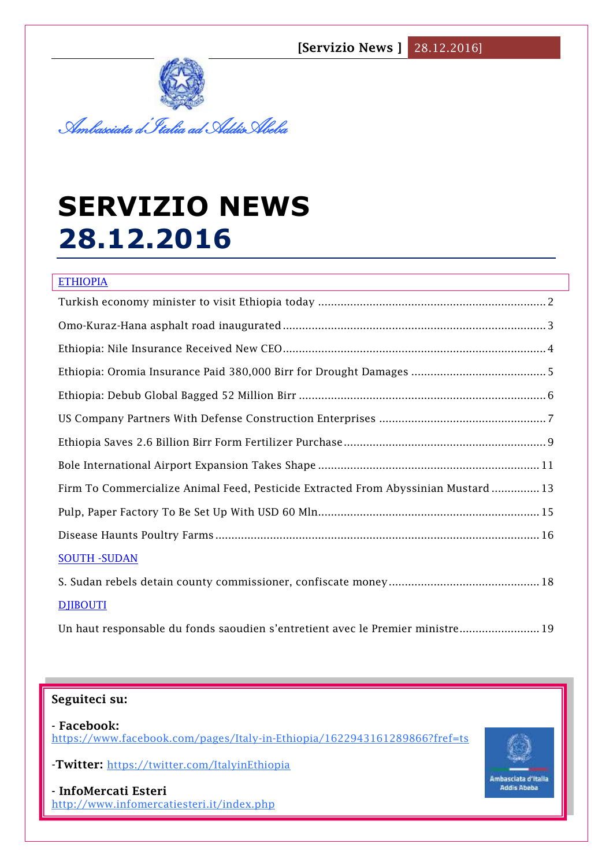

# **SERVIZIO NEWS 28.12.2016**

| <b>ETHIOPIA</b>                                                                    |
|------------------------------------------------------------------------------------|
|                                                                                    |
|                                                                                    |
|                                                                                    |
|                                                                                    |
|                                                                                    |
|                                                                                    |
|                                                                                    |
|                                                                                    |
| Firm To Commercialize Animal Feed, Pesticide Extracted From Abyssinian Mustard  13 |
|                                                                                    |
|                                                                                    |
| <b>SOUTH - SUDAN</b>                                                               |
|                                                                                    |
| <b>DJIBOUTI</b>                                                                    |
| Un haut responsable du fonds saoudien s'entretient avec le Premier ministre 19     |

## **Seguiteci su:**

**- Facebook:** <https://www.facebook.com/pages/Italy-in-Ethiopia/1622943161289866?fref=ts>

-**Twitter:** <https://twitter.com/ItalyinEthiopia>

**1** <http://www.infomercatiesteri.it/index.php> **- InfoMercati Esteri** 

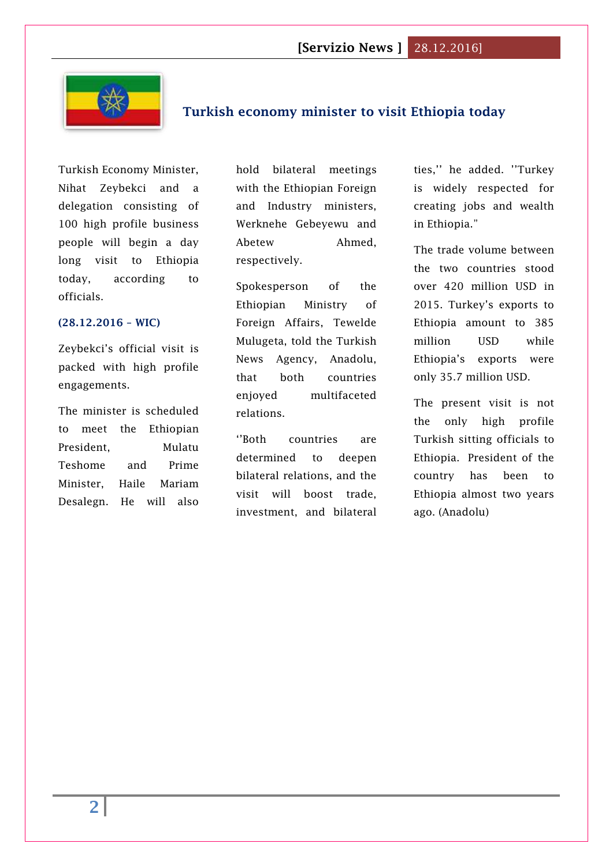

# <span id="page-1-0"></span>**Turkish economy minister to visit Ethiopia today**

Turkish Economy Minister, Nihat Zeybekci and a delegation consisting of 100 high profile business people will begin a day long visit to Ethiopia today, according to officials.

#### **(28.12.2016 – WIC)**

Zeybekci's official visit is packed with high profile engagements.

The minister is scheduled to meet the Ethiopian President, Mulatu Teshome and Prime Minister, Haile Mariam Desalegn. He will also

hold bilateral meetings with the Ethiopian Foreign and Industry ministers, Werknehe Gebeyewu and Abetew Ahmed, respectively.

Spokesperson of the Ethiopian Ministry of Foreign Affairs, Tewelde Mulugeta, told the Turkish News Agency, Anadolu, that both countries enjoyed multifaceted relations.

''Both countries are determined to deepen bilateral relations, and the visit will boost trade, investment, and bilateral ties,'' he added. ''Turkey is widely respected for creating jobs and wealth in Ethiopia."

The trade volume between the two countries stood over 420 million USD in 2015. Turkey's exports to Ethiopia amount to 385 million USD while Ethiopia's exports were only 35.7 million USD.

The present visit is not the only high profile Turkish sitting officials to Ethiopia. President of the country has been to Ethiopia almost two years ago. (Anadolu)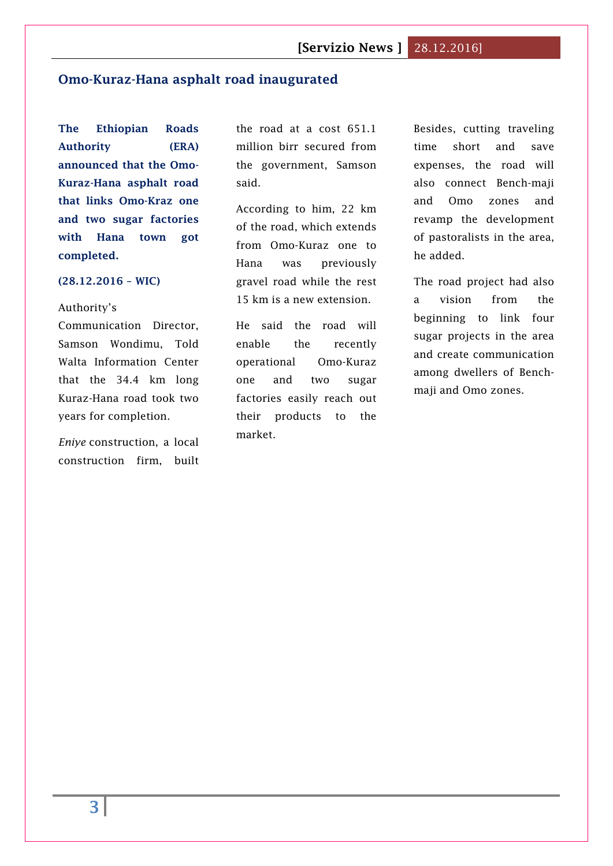#### <span id="page-2-0"></span>**Omo-Kuraz-Hana asphalt road inaugurated**

**The Ethiopian Roads Authority (ERA) announced that the Omo-Kuraz-Hana asphalt road that links Omo-Kraz one and two sugar factories with Hana town got completed.**

#### **(28.12.2016 – WIC)**

Authority's

Communication Director, Samson Wondimu, Told Walta Information Center that the 34.4 km long Kuraz-Hana road took two years for completion.

*Eniye* construction, a local construction firm, built the road at a cost 651.1 million birr secured from the government, Samson said.

According to him, 22 km of the road, which extends from Omo-Kuraz one to Hana was previously gravel road while the rest 15 km is a new extension.

He said the road will enable the recently operational Omo-Kuraz one and two sugar factories easily reach out their products to the market.

Besides, cutting traveling time short and save expenses, the road will also connect Bench-maji and Omo zones and revamp the development of pastoralists in the area, he added.

The road project had also a vision from the beginning to link four sugar projects in the area and create communication among dwellers of Benchmaji and Omo zones.

**3**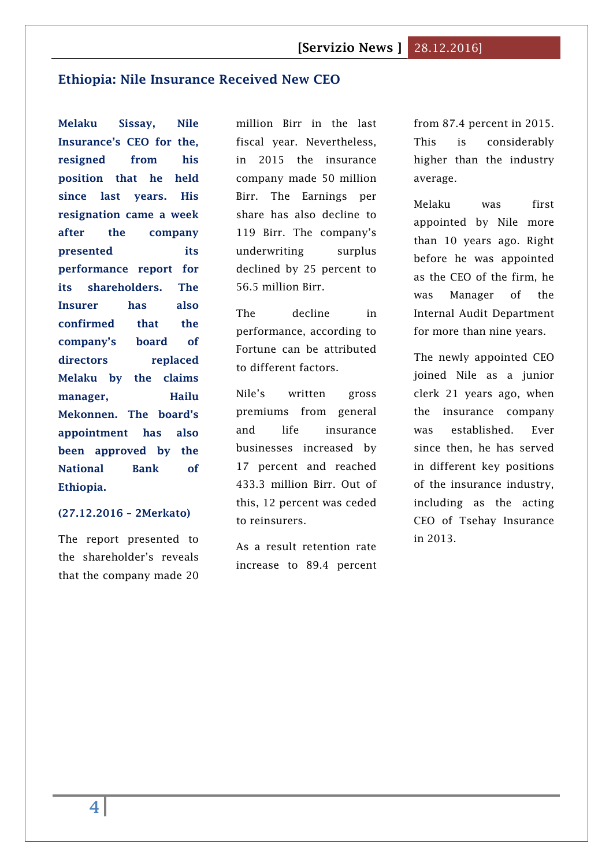#### <span id="page-3-0"></span>**[Ethiopia: Nile Insurance Received New CEO](http://www.2merkato.com/news/alerts/4886-ethiopia-nile-insurance-received-new-ceo)**

**Melaku Sissay, Nile Insurance's CEO for the, resigned from his position that he held since last years. His resignation came a week after the company presented its performance report for its shareholders. The Insurer has also confirmed that the company's board of directors replaced Melaku by the claims manager, Hailu Mekonnen. The board's appointment has also been approved by the National Bank of Ethiopia.**

#### **(27.12.2016 – 2Merkato)**

The report presented to the shareholder's reveals that the company made 20 million Birr in the last fiscal year. Nevertheless, in 2015 the insurance company made 50 million Birr. The Earnings per share has also decline to 119 Birr. The company's underwriting surplus declined by 25 percent to 56.5 million Birr.

The decline in performance, according to Fortune can be attributed to different factors.

Nile's written gross premiums from general and life insurance businesses increased by 17 percent and reached 433.3 million Birr. Out of this, 12 percent was ceded to reinsurers.

As a result retention rate increase to 89.4 percent

from 87.4 percent in 2015. This is considerably higher than the industry average.

Melaku was first appointed by Nile more than 10 years ago. Right before he was appointed as the CEO of the firm, he was Manager of the Internal Audit Department for more than nine years.

The newly appointed CEO joined Nile as a junior clerk 21 years ago, when the insurance company was established. Ever since then, he has served in different key positions of the insurance industry, including as the acting CEO of Tsehay Insurance in 2013.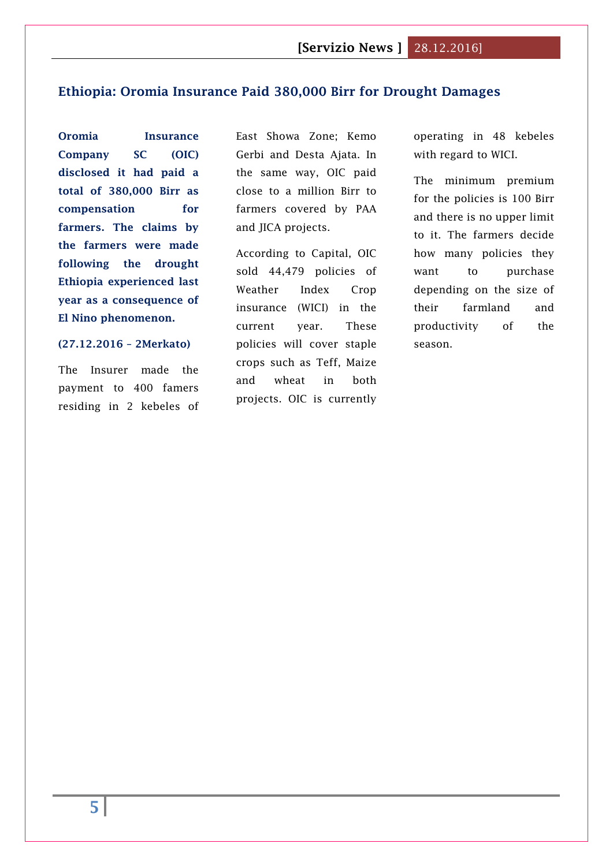#### <span id="page-4-0"></span>**[Ethiopia: Oromia Insurance Paid 380,000 Birr for Drought Damages](http://www.2merkato.com/news/alerts/4885-ethiopia-oromia-insurance-paid-380000-birr-for-drought-damages)**

**Oromia Insurance Company SC (OIC) disclosed it had paid a total of 380,000 Birr as compensation for farmers. The claims by the farmers were made following the drought Ethiopia experienced last year as a consequence of El Nino phenomenon.**

#### **(27.12.2016 – 2Merkato)**

The Insurer made the payment to 400 famers residing in 2 kebeles of East Showa Zone; Kemo Gerbi and Desta Ajata. In the same way, OIC paid close to a million Birr to farmers covered by PAA and JICA projects.

According to Capital, OIC sold 44,479 policies of Weather Index Crop insurance (WICI) in the current year. These policies will cover staple crops such as Teff, Maize and wheat in both projects. OIC is currently

operating in 48 kebeles with regard to WICI.

The minimum premium for the policies is 100 Birr and there is no upper limit to it. The farmers decide how many policies they want to purchase depending on the size of their farmland and productivity of the season.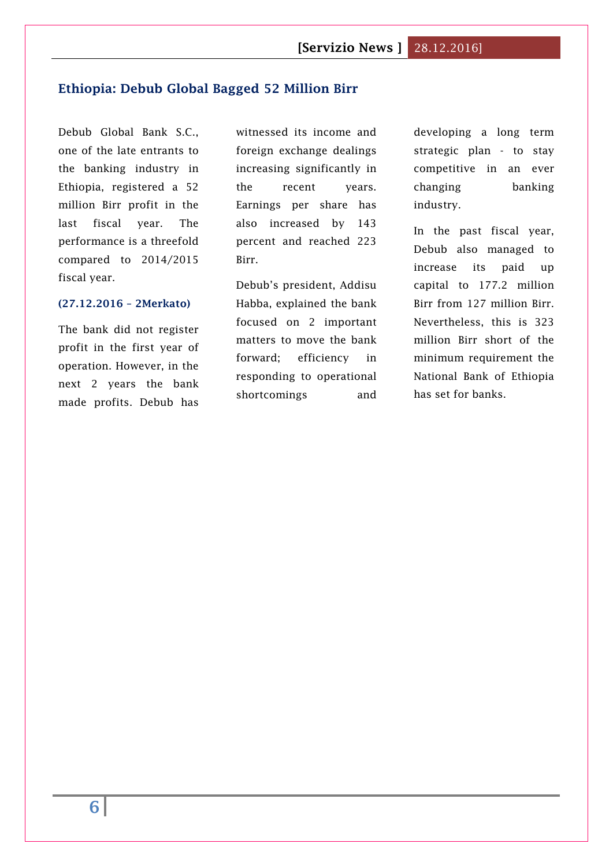#### <span id="page-5-0"></span>**[Ethiopia: Debub Global Bagged 52 Million Birr](http://www.2merkato.com/news/alerts/4887-ethiopia-debub-global-bagged-52-million-birr)**

Debub Global Bank S.C., one of the late entrants to the banking industry in Ethiopia, registered a 52 million Birr profit in the last fiscal year. The performance is a threefold compared to 2014/2015 fiscal year.

#### **(27.12.2016 – 2Merkato)**

The bank did not register profit in the first year of operation. However, in the next 2 years the bank made profits. Debub has

witnessed its income and foreign exchange dealings increasing significantly in the recent years. Earnings per share has also increased by 143 percent and reached 223 Birr.

Debub's president, Addisu Habba, explained the bank focused on 2 important matters to move the bank forward; efficiency in responding to operational shortcomings and

developing a long term strategic plan - to stay competitive in an ever changing banking industry.

In the past fiscal year, Debub also managed to increase its paid up capital to 177.2 million Birr from 127 million Birr. Nevertheless, this is 323 million Birr short of the minimum requirement the National Bank of Ethiopia has set for banks.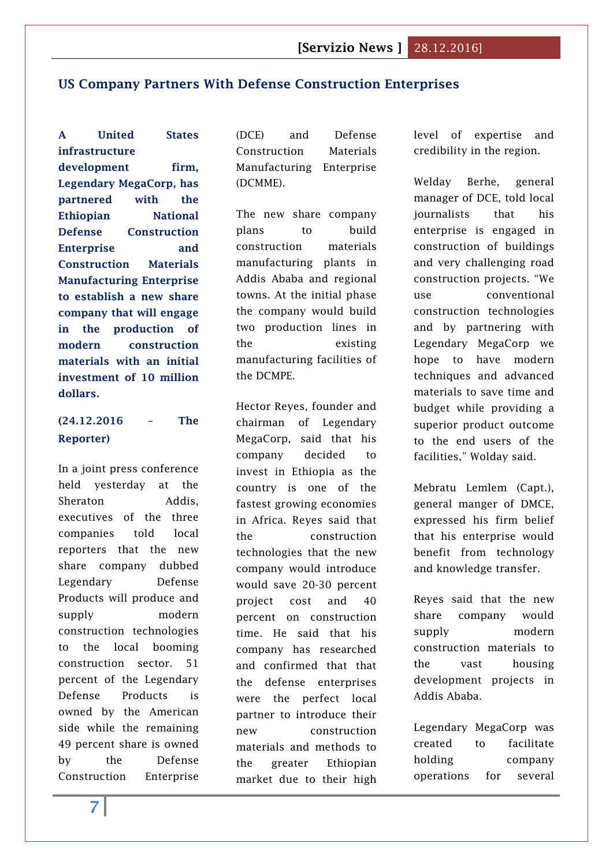# <span id="page-6-0"></span>**US [Company Partners With Defense Construction Enterprises](http://www.thereporterethiopia.com/content/us-company-partners-defense-construction-enterprises)**

**A United States infrastructure development firm, Legendary MegaCorp, has partnered with the Ethiopian National Defense Construction Enterprise and Construction Materials Manufacturing Enterprise to establish a new share company that will engage in the production of modern construction materials with an initial investment of 10 million dollars.**

# **(24.12.2016 – The Reporter)**

In a joint press conference held yesterday at the Sheraton Addis, executives of the three companies told local reporters that the new share company dubbed Legendary Defense Products will produce and supply modern construction technologies to the local booming construction sector. 51 percent of the Legendary Defense Products is owned by the American side while the remaining 49 percent share is owned by the Defense Construction Enterprise (DCE) and Defense Construction Materials Manufacturing Enterprise (DCMME).

The new share company plans to build construction materials manufacturing plants in Addis Ababa and regional towns. At the initial phase the company would build two production lines in the existing manufacturing facilities of the DCMPE.

Hector Reyes, founder and chairman of Legendary MegaCorp, said that his company decided to invest in Ethiopia as the country is one of the fastest growing economies in Africa. Reyes said that the construction technologies that the new company would introduce would save 20-30 percent project cost and 40 percent on construction time. He said that his company has researched and confirmed that that the defense enterprises were the perfect local partner to introduce their new construction materials and methods to the greater Ethiopian market due to their high

level of expertise and credibility in the region.

Welday Berhe, general manager of DCE, told local journalists that his enterprise is engaged in construction of buildings and very challenging road construction projects. "We use conventional construction technologies and by partnering with Legendary MegaCorp we hope to have modern techniques and advanced materials to save time and budget while providing a superior product outcome to the end users of the facilities," Wolday said.

Mebratu Lemlem (Capt.), general manger of DMCE, expressed his firm belief that his enterprise would benefit from technology and knowledge transfer.

Reyes said that the new share company would supply modern construction materials to the vast housing development projects in Addis Ababa.

Legendary MegaCorp was created to facilitate holding company operations for several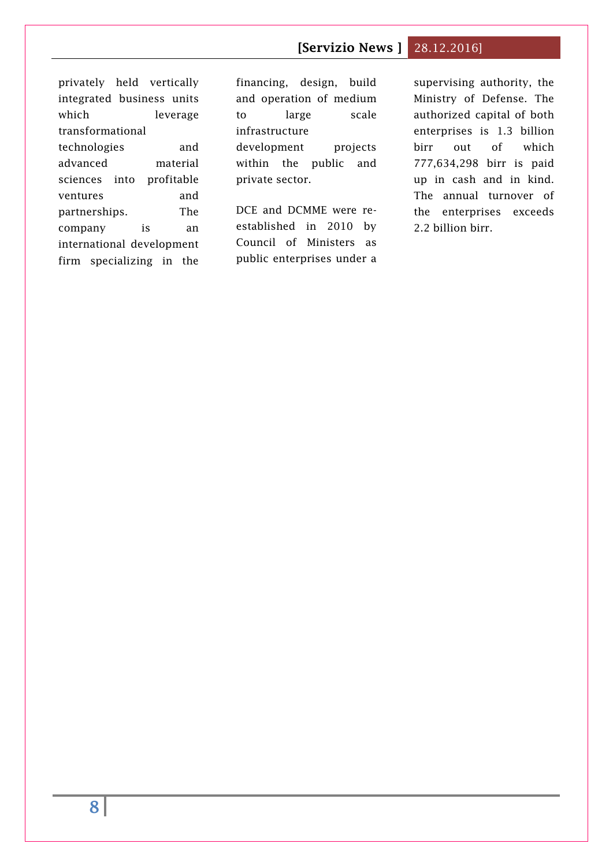privately held vertically integrated business units which leverage transformational technologies and advanced material sciences into profitable ventures and partnerships. The company is an international development firm specializing in the financing, design, build and operation of medium to large scale infrastructure development projects within the public and private sector.

DCE and DCMME were reestablished in 2010 by Council of Ministers as public enterprises under a supervising authority, the Ministry of Defense. The authorized capital of both enterprises is 1.3 billion birr out of which 777,634,298 birr is paid up in cash and in kind. The annual turnover of the enterprises exceeds 2.2 billion birr.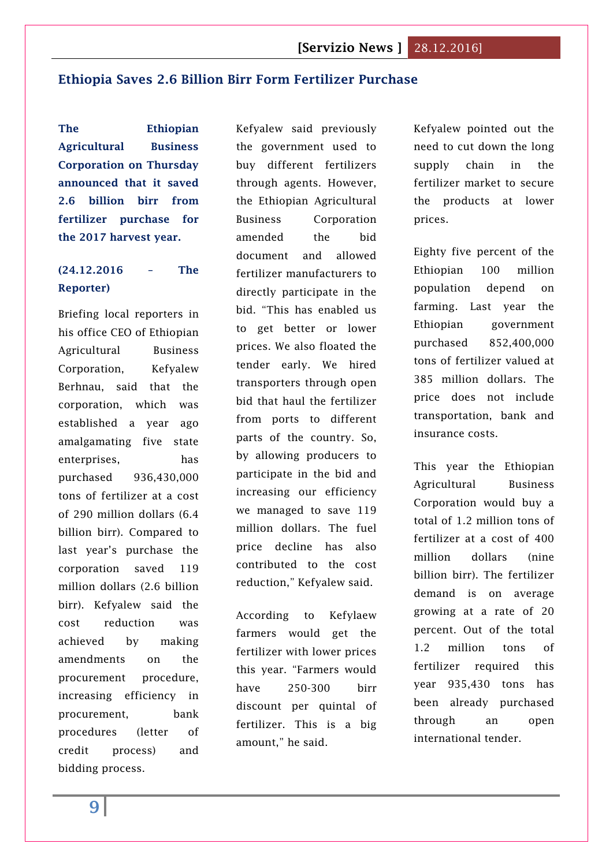#### <span id="page-8-0"></span>**[Ethiopia Saves 2.6 Billion Birr Form Fertilizer Purchase](http://www.thereporterethiopia.com/content/ethiopia-saves-26-billion-birr-form-fertilizer-purchase)**

**The Ethiopian Agricultural Business Corporation on Thursday announced that it saved 2.6 billion birr from fertilizer purchase for the 2017 harvest year.**

# **(24.12.2016 – The Reporter)**

Briefing local reporters in his office CEO of Ethiopian Agricultural Business Corporation, Kefyalew Berhnau, said that the corporation, which was established a year ago amalgamating five state enterprises, has purchased 936,430,000 tons of fertilizer at a cost of 290 million dollars (6.4 billion birr). Compared to last year's purchase the corporation saved 119 million dollars (2.6 billion birr). Kefyalew said the cost reduction was achieved by making amendments on the procurement procedure, increasing efficiency in procurement, bank procedures (letter of credit process) and bidding process.

Kefyalew said previously the government used to buy different fertilizers through agents. However, the Ethiopian Agricultural Business Corporation amended the bid document and allowed fertilizer manufacturers to directly participate in the bid. "This has enabled us to get better or lower prices. We also floated the tender early. We hired transporters through open bid that haul the fertilizer from ports to different parts of the country. So, by allowing producers to participate in the bid and increasing our efficiency we managed to save 119 million dollars. The fuel price decline has also contributed to the cost reduction," Kefyalew said.

According to Kefylaew farmers would get the fertilizer with lower prices this year. "Farmers would have 250-300 birr discount per quintal of fertilizer. This is a big amount," he said.

Kefyalew pointed out the need to cut down the long supply chain in the fertilizer market to secure the products at lower prices.

Eighty five percent of the Ethiopian 100 million population depend on farming. Last year the Ethiopian government purchased 852,400,000 tons of fertilizer valued at 385 million dollars. The price does not include transportation, bank and insurance costs.

This year the Ethiopian Agricultural Business Corporation would buy a total of 1.2 million tons of fertilizer at a cost of 400 million dollars (nine billion birr). The fertilizer demand is on average growing at a rate of 20 percent. Out of the total 1.2 million tons of fertilizer required this year 935,430 tons has been already purchased through an open international tender.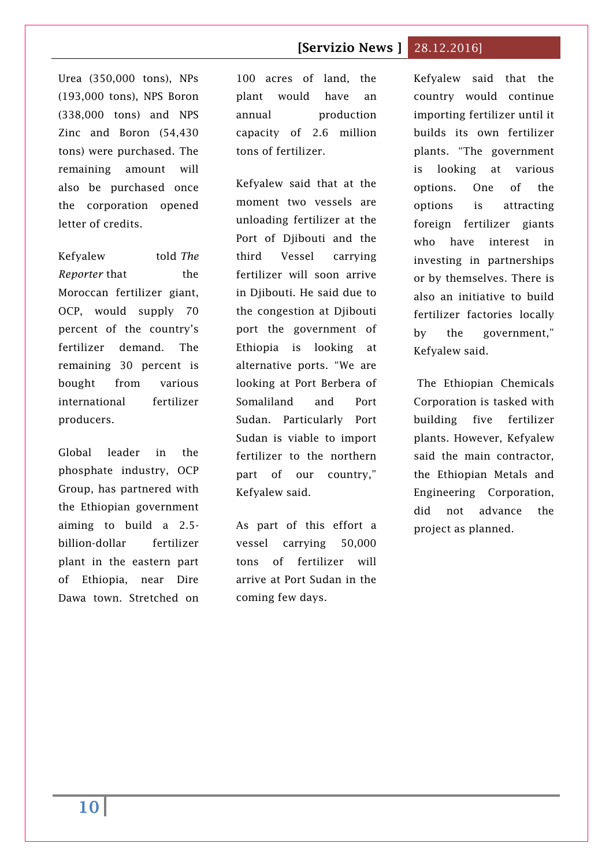Urea (350,000 tons), NPs (193,000 tons), NPS Boron (338,000 tons) and NPS Zinc and Boron (54,430 tons) were purchased. The remaining amount will also be purchased once the corporation opened letter of credits.

Kefyalew told *The Reporter* that the Moroccan fertilizer giant, OCP, would supply 70 percent of the country's fertilizer demand. The remaining 30 percent is bought from various international fertilizer producers.

Global leader in the phosphate industry, OCP Group, has partnered with the Ethiopian government aiming to build a 2.5 billion-dollar fertilizer plant in the eastern part of Ethiopia, near Dire Dawa town. Stretched on

100 acres of land, the plant would have an annual production capacity of 2.6 million tons of fertilizer.

Kefyalew said that at the moment two vessels are unloading fertilizer at the Port of Djibouti and the third Vessel carrying fertilizer will soon arrive in Djibouti. He said due to the congestion at Djibouti port the government of Ethiopia is looking at alternative ports. "We are looking at Port Berbera of Somaliland and Port Sudan. Particularly Port Sudan is viable to import fertilizer to the northern part of our country," Kefyalew said.

As part of this effort a vessel carrying 50,000 tons of fertilizer will arrive at Port Sudan in the coming few days.

Kefyalew said that the country would continue importing fertilizer until it builds its own fertilizer plants. "The government is looking at various options. One of the options is attracting foreign fertilizer giants who have interest in investing in partnerships or by themselves. There is also an initiative to build fertilizer factories locally by the government," Kefyalew said.

The Ethiopian Chemicals Corporation is tasked with building five fertilizer plants. However, Kefyalew said the main contractor, the Ethiopian Metals and Engineering Corporation, did not advance the project as planned.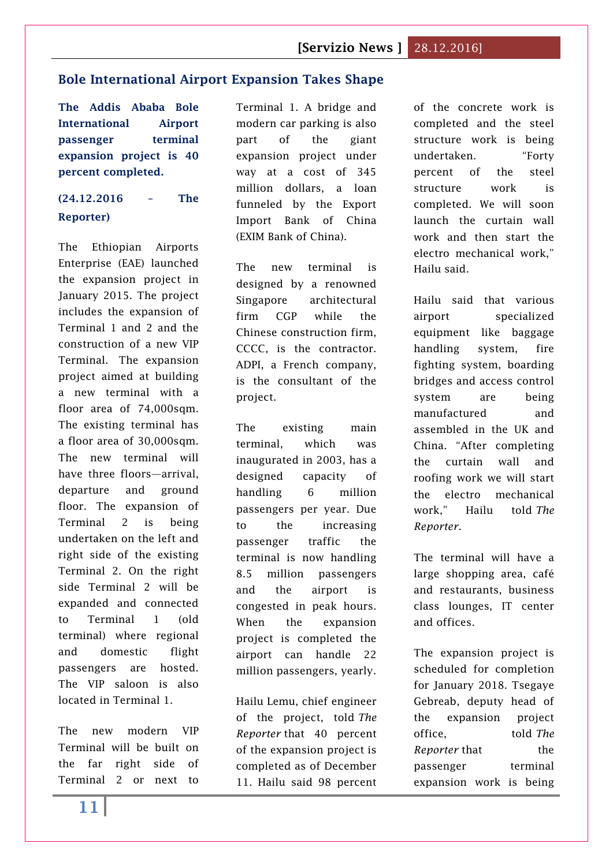#### <span id="page-10-0"></span>**[Bole International Airport Expansion Takes Shape](http://www.thereporterethiopia.com/content/bole-international-airport-expansion-takes-shape)**

**The Addis Ababa Bole International Airport passenger terminal expansion project is 40 percent completed.**

# **(24.12.2016 – The Reporter)**

The Ethiopian Airports Enterprise (EAE) launched the expansion project in January 2015. The project includes the expansion of Terminal 1 and 2 and the construction of a new VIP Terminal. The expansion project aimed at building a new terminal with a floor area of 74,000sqm. The existing terminal has a floor area of 30,000sqm. The new terminal will have three floors—arrival, departure and ground floor. The expansion of Terminal 2 is being undertaken on the left and right side of the existing Terminal 2. On the right side Terminal 2 will be expanded and connected to Terminal 1 (old terminal) where regional and domestic flight passengers are hosted. The VIP saloon is also located in Terminal 1.

The new modern VIP Terminal will be built on the far right side of Terminal 2 or next to Terminal 1. A bridge and modern car parking is also part of the giant expansion project under way at a cost of 345 million dollars, a loan funneled by the Export Import Bank of China (EXIM Bank of China).

The new terminal is designed by a renowned Singapore architectural firm CGP while the Chinese construction firm, CCCC, is the contractor. ADPI, a French company, is the consultant of the project.

The existing main terminal, which was inaugurated in 2003, has a designed capacity of handling 6 million passengers per year. Due to the increasing passenger traffic the terminal is now handling 8.5 million passengers and the airport is congested in peak hours. When the expansion project is completed the airport can handle 22 million passengers, yearly.

Hailu Lemu, chief engineer of the project, told *The Reporter* that 40 percent of the expansion project is completed as of December 11. Hailu said 98 percent

of the concrete work is completed and the steel structure work is being undertaken. "Forty percent of the steel structure work is completed. We will soon launch the curtain wall work and then start the electro mechanical work," Hailu said.

Hailu said that various airport specialized equipment like baggage handling system, fire fighting system, boarding bridges and access control system are being manufactured and assembled in the UK and China. "After completing the curtain wall and roofing work we will start the electro mechanical work," Hailu told *The Reporter*.

The terminal will have a large shopping area, café and restaurants, business class lounges, IT center and offices.

The expansion project is scheduled for completion for January 2018. Tsegaye Gebreab, deputy head of the expansion project office, told *The Reporter* that the passenger terminal expansion work is being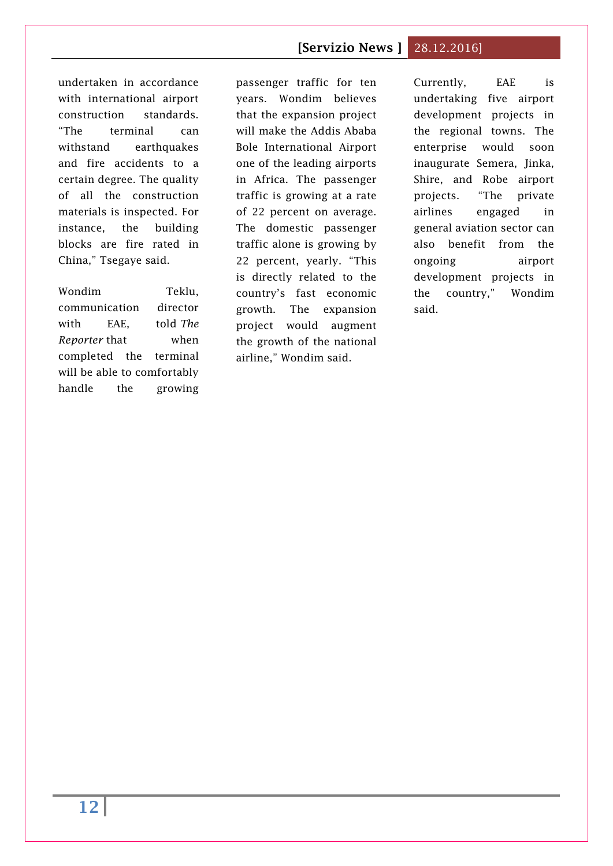undertaken in accordance with international airport construction standards. "The terminal can withstand earthquakes and fire accidents to a certain degree. The quality of all the construction materials is inspected. For instance, the building blocks are fire rated in China," Tsegaye said.

Wondim Teklu, communication director with EAE, told *The Reporter* that when completed the terminal will be able to comfortably handle the growing

passenger traffic for ten years. Wondim believes that the expansion project will make the Addis Ababa Bole International Airport one of the leading airports in Africa. The passenger traffic is growing at a rate of 22 percent on average. The domestic passenger traffic alone is growing by 22 percent, yearly. "This is directly related to the country's fast economic growth. The expansion project would augment the growth of the national airline," Wondim said.

Currently, EAE is undertaking five airport development projects in the regional towns. The enterprise would soon inaugurate Semera, Jinka, Shire, and Robe airport projects. "The private airlines engaged in general aviation sector can also benefit from the ongoing airport development projects in the country," Wondim said.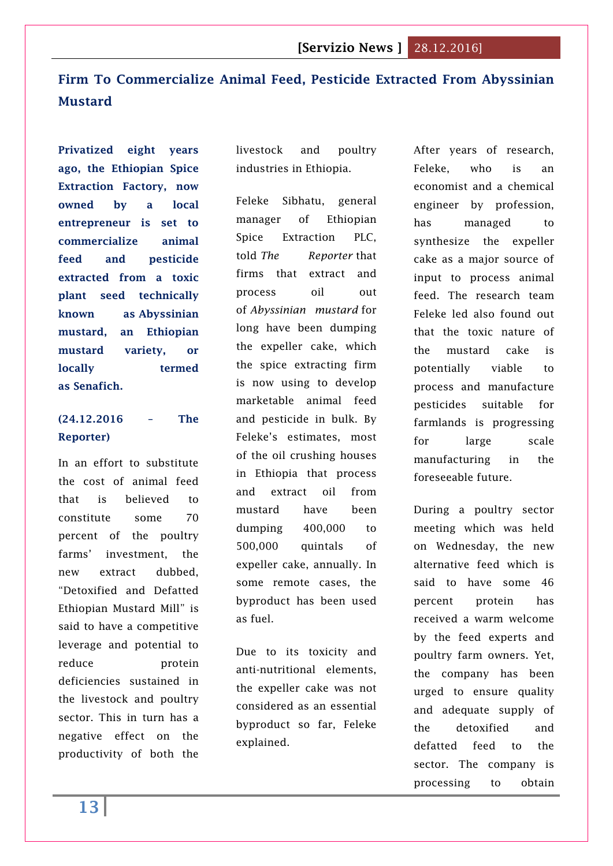# <span id="page-12-0"></span>**[Firm To Commercialize Animal Feed, Pesticide Extracted From Abyssinian](http://www.thereporterethiopia.com/content/firm-commercialize-animal-feed-pesticide-extracted-abyssinian-mustard)  [Mustard](http://www.thereporterethiopia.com/content/firm-commercialize-animal-feed-pesticide-extracted-abyssinian-mustard)**

**Privatized eight years ago, the Ethiopian Spice Extraction Factory, now owned by a local entrepreneur is set to commercialize animal feed and pesticide extracted from a toxic plant seed technically known as Abyssinian mustard, an Ethiopian mustard variety, or locally termed as Senafich.**

# **(24.12.2016 – The Reporter)**

In an effort to substitute the cost of animal feed that is believed to constitute some 70 percent of the poultry farms' investment, the new extract dubbed, "Detoxified and Defatted Ethiopian Mustard Mill" is said to have a competitive leverage and potential to reduce protein deficiencies sustained in the livestock and poultry sector. This in turn has a negative effect on the productivity of both the livestock and poultry industries in Ethiopia.

Feleke Sibhatu, general manager of Ethiopian Spice Extraction PLC, told *The Reporter* that firms that extract and process oil out of *Abyssinian mustard* for long have been dumping the expeller cake, which the spice extracting firm is now using to develop marketable animal feed and pesticide in bulk. By Feleke's estimates, most of the oil crushing houses in Ethiopia that process and extract oil from mustard have been dumping 400,000 to 500,000 quintals of expeller cake, annually. In some remote cases, the byproduct has been used as fuel.

Due to its toxicity and anti-nutritional elements, the expeller cake was not considered as an essential byproduct so far, Feleke explained.

After years of research, Feleke, who is an economist and a chemical engineer by profession, has managed to synthesize the expeller cake as a major source of input to process animal feed. The research team Feleke led also found out that the toxic nature of the mustard cake is potentially viable to process and manufacture pesticides suitable for farmlands is progressing for large scale manufacturing in the foreseeable future.

During a poultry sector meeting which was held on Wednesday, the new alternative feed which is said to have some 46 percent protein has received a warm welcome by the feed experts and poultry farm owners. Yet, the company has been urged to ensure quality and adequate supply of the detoxified and defatted feed to the sector. The company is processing to obtain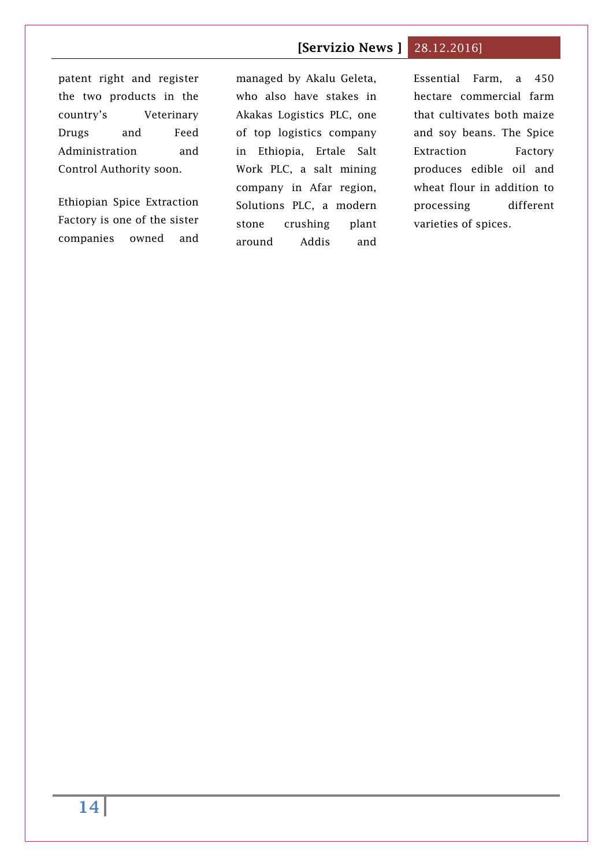# patent right and register the two products in the country's Veterinary Drugs and Feed Administration and Control Authority soon.

Ethiopian Spice Extraction Factory is one of the sister companies owned and managed by Akalu Geleta, who also have stakes in Akakas Logistics PLC, one of top logistics company in Ethiopia, Ertale Salt Work PLC, a salt mining company in Afar region, Solutions PLC, a modern stone crushing plant around Addis and

Essential Farm, a 450 hectare commercial farm that cultivates both maize and soy beans. The Spice Extraction Factory produces edible oil and wheat flour in addition to processing different varieties of spices.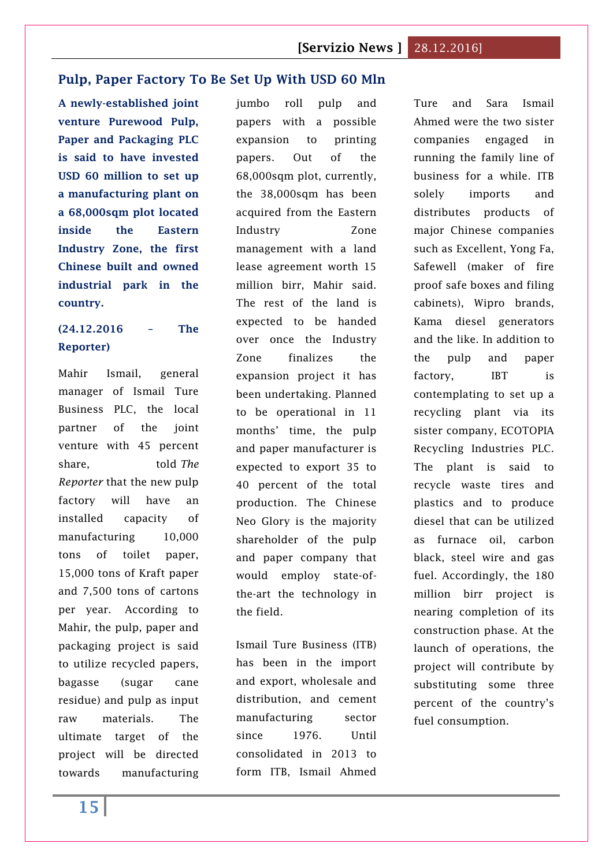#### <span id="page-14-0"></span>**[Pulp, Paper Factory To Be Set Up With USD 60 Mln](http://www.thereporterethiopia.com/content/pulp-paper-factory-be-set-usd-60-mln)**

**A newly-established joint venture Purewood Pulp, Paper and Packaging PLC is said to have invested USD 60 million to set up a manufacturing plant on a 68,000sqm plot located inside the Eastern Industry Zone, the first Chinese built and owned industrial park in the country.**

#### **(24.12.2016 – The Reporter)**

Mahir Ismail, general manager of Ismail Ture Business PLC, the local partner of the joint venture with 45 percent share, told *The Reporter* that the new pulp factory will have an installed capacity of manufacturing 10,000 tons of toilet paper, 15,000 tons of Kraft paper and 7,500 tons of cartons per year. According to Mahir, the pulp, paper and packaging project is said to utilize recycled papers, bagasse (sugar cane residue) and pulp as input raw materials. The ultimate target of the project will be directed towards manufacturing jumbo roll pulp and papers with a possible expansion to printing papers. Out of the 68,000sqm plot, currently, the 38,000sqm has been acquired from the Eastern Industry Zone management with a land lease agreement worth 15 million birr, Mahir said. The rest of the land is expected to be handed over once the Industry Zone finalizes the expansion project it has been undertaking. Planned to be operational in 11 months' time, the pulp and paper manufacturer is expected to export 35 to 40 percent of the total production. The Chinese Neo Glory is the majority shareholder of the pulp and paper company that would employ state-ofthe-art the technology in the field.

Ismail Ture Business (ITB) has been in the import and export, wholesale and distribution, and cement manufacturing sector since 1976. Until consolidated in 2013 to form ITB, Ismail Ahmed

Ture and Sara Ismail Ahmed were the two sister companies engaged in running the family line of business for a while. ITB solely imports and distributes products of major Chinese companies such as Excellent, Yong Fa, Safewell (maker of fire proof safe boxes and filing cabinets), Wipro brands, Kama diesel generators and the like. In addition to the pulp and paper factory, IBT is contemplating to set up a recycling plant via its sister company, ECOTOPIA Recycling Industries PLC. The plant is said to recycle waste tires and plastics and to produce diesel that can be utilized as furnace oil, carbon black, steel wire and gas fuel. Accordingly, the 180 million birr project is nearing completion of its construction phase. At the launch of operations, the project will contribute by substituting some three percent of the country's fuel consumption.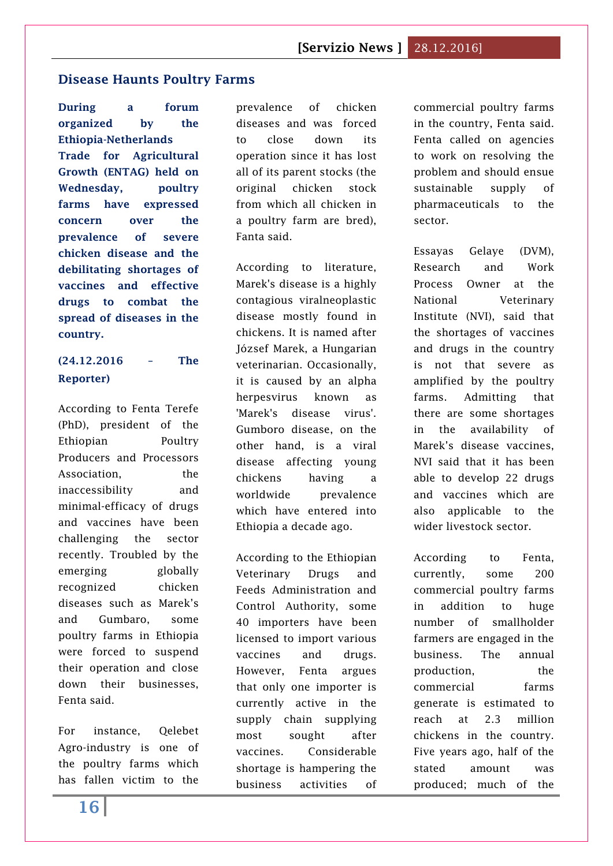#### <span id="page-15-0"></span>**[Disease Haunts Poultry Farms](http://www.thereporterethiopia.com/content/disease-haunts-poultry-farms)**

**During a forum organized by the Ethiopia-Netherlands Trade for Agricultural Growth (ENTAG) held on Wednesday, poultry farms have expressed concern over the prevalence of severe chicken disease and the debilitating shortages of vaccines and effective drugs to combat the spread of diseases in the country.**

# **(24.12.2016 – The Reporter)**

According to Fenta Terefe (PhD), president of the Ethiopian Poultry Producers and Processors Association, the inaccessibility and minimal-efficacy of drugs and vaccines have been challenging the sector recently. Troubled by the emerging globally recognized chicken diseases such as Marek's and Gumbaro, some poultry farms in Ethiopia were forced to suspend their operation and close down their businesses, Fenta said.

For instance, Qelebet Agro-industry is one of the poultry farms which has fallen victim to the prevalence of chicken diseases and was forced to close down its operation since it has lost all of its parent stocks (the original chicken stock from which all chicken in a poultry farm are bred), Fanta said.

According to literature, Marek's disease is a highly contagious viralneoplastic disease mostly found in chickens. It is named after József Marek, a Hungarian veterinarian. Occasionally, it is caused by an alpha herpesvirus known as 'Marek's disease virus'. Gumboro disease, on the other hand, is a viral disease affecting young chickens having a worldwide prevalence which have entered into Ethiopia a decade ago.

According to the Ethiopian Veterinary Drugs and Feeds Administration and Control Authority, some 40 importers have been licensed to import various vaccines and drugs. However, Fenta argues that only one importer is currently active in the supply chain supplying most sought after vaccines. Considerable shortage is hampering the business activities of

commercial poultry farms in the country, Fenta said. Fenta called on agencies to work on resolving the problem and should ensue sustainable supply of pharmaceuticals to the sector.

Essayas Gelaye (DVM), Research and Work Process Owner at the National Veterinary Institute (NVI), said that the shortages of vaccines and drugs in the country is not that severe as amplified by the poultry farms. Admitting that there are some shortages in the availability of Marek's disease vaccines, NVI said that it has been able to develop 22 drugs and vaccines which are also applicable to the wider livestock sector.

According to Fenta, currently, some 200 commercial poultry farms in addition to huge number of smallholder farmers are engaged in the business. The annual production, the commercial farms generate is estimated to reach at 2.3 million chickens in the country. Five years ago, half of the stated amount was produced; much of the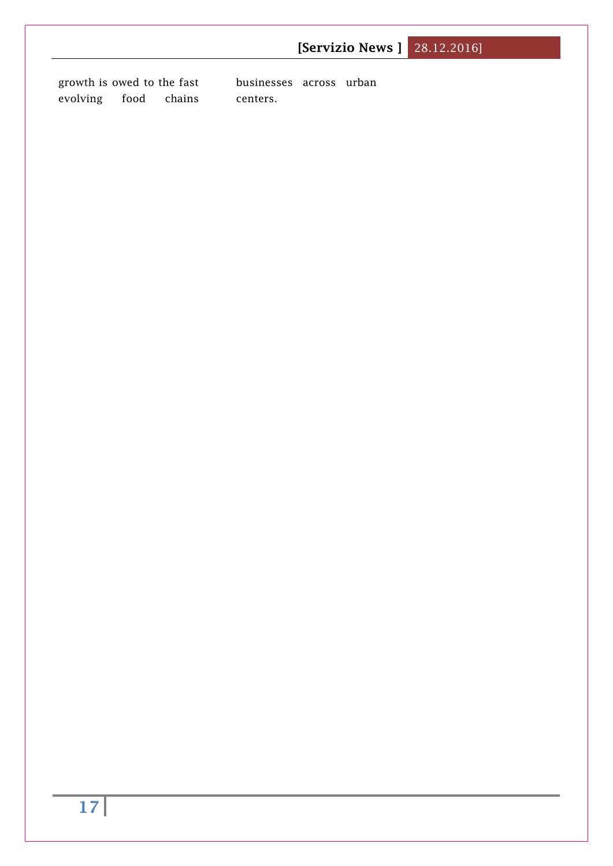|                                                          | <b>[Servizio News ] 28.12.2016]</b> |
|----------------------------------------------------------|-------------------------------------|
| growth is owed to the fast<br>food<br>evolving<br>chains | businesses across urban<br>centers. |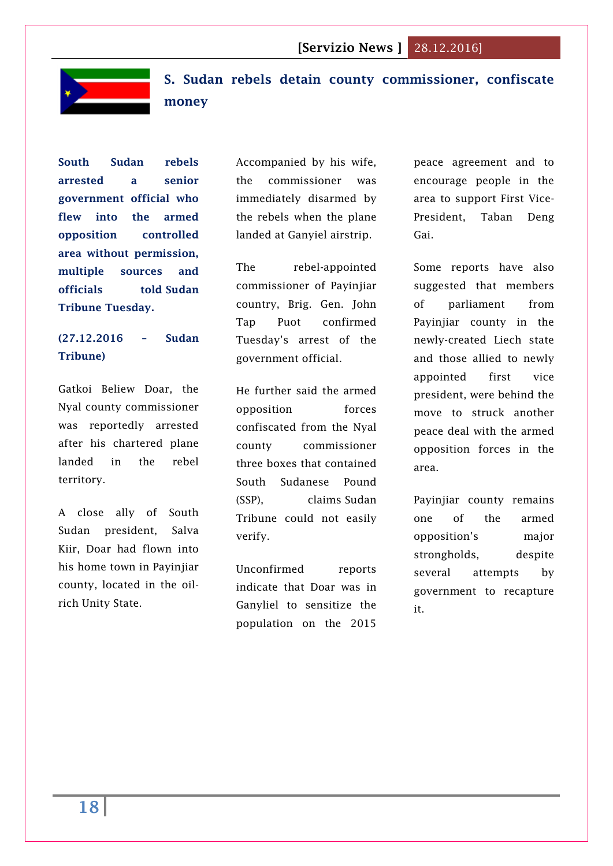

<span id="page-17-0"></span>**S. Sudan rebels detain county commissioner, confiscate money**

**South Sudan rebels arrested a senior government official who flew into the armed opposition controlled area without permission, multiple sources and officials told Sudan Tribune Tuesday.**

# **(27.12.2016 – Sudan Tribune)**

Gatkoi Beliew Doar, the Nyal county commissioner was reportedly arrested after his chartered plane landed in the rebel territory.

A close ally of South Sudan president, Salva Kiir, Doar had flown into his home town in Payinjiar county, located in the oilrich Unity State.

Accompanied by his wife, the commissioner was immediately disarmed by the rebels when the plane landed at Ganyiel airstrip.

The rebel-appointed commissioner of Payinjiar country, Brig. Gen. John Tap Puot confirmed Tuesday's arrest of the government official.

He further said the armed opposition forces confiscated from the Nyal county commissioner three boxes that contained South Sudanese Pound (SSP), claims Sudan Tribune could not easily verify.

Unconfirmed reports indicate that Doar was in Ganyliel to sensitize the population on the 2015

peace agreement and to encourage people in the area to support First Vice-President, Taban Deng Gai.

Some reports have also suggested that members of parliament from Payinjiar county in the newly-created Liech state and those allied to newly appointed first vice president, were behind the move to struck another peace deal with the armed opposition forces in the area.

Payinjiar county remains one of the armed opposition's major strongholds, despite several attempts by government to recapture it.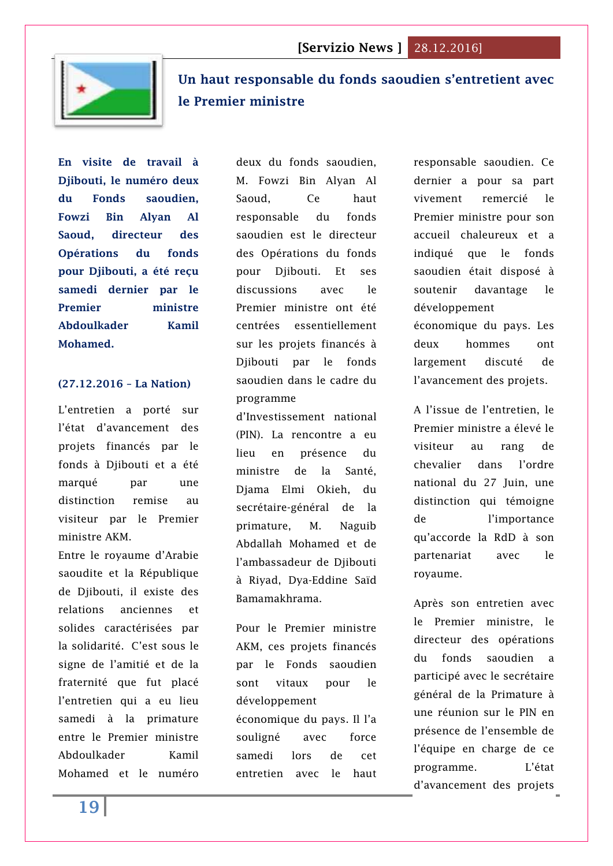

# <span id="page-18-0"></span>**[Un haut responsable du fonds saoudien s'entretient avec](http://www.lanationdj.com/haut-responsable-fonds-saoudien-sentretient-premier-ministre/)  [le Premier ministre](http://www.lanationdj.com/haut-responsable-fonds-saoudien-sentretient-premier-ministre/)**

**En visite de travail à Djibouti, le numéro deux du Fonds saoudien, Fowzi Bin Alyan Al Saoud, directeur des Opérations du fonds pour Djibouti, a été reçu samedi dernier par le Premier ministre Abdoulkader Kamil Mohamed.**

#### **(27.12.2016 – La Nation)**

L'entretien a porté sur l'état d'avancement des projets financés par le fonds à Djibouti et a été marqué par une distinction remise au visiteur par le Premier ministre AKM.

Entre le royaume d'Arabie saoudite et la République de Djibouti, il existe des relations anciennes et solides caractérisées par la solidarité. C'est sous le signe de l'amitié et de la fraternité que fut placé l'entretien qui a eu lieu samedi à la primature entre le Premier ministre Abdoulkader Kamil Mohamed et le numéro

deux du fonds saoudien, M. Fowzi Bin Alyan Al Saoud, Ce haut responsable du fonds saoudien est le directeur des Opérations du fonds pour Djibouti. Et ses discussions avec le Premier ministre ont été centrées essentiellement sur les projets financés à Djibouti par le fonds saoudien dans le cadre du programme

d'Investissement national (PIN). La rencontre a eu lieu en présence du ministre de la Santé, Djama Elmi Okieh, du secrétaire-général de la primature, M. Naguib Abdallah Mohamed et de l'ambassadeur de Djibouti à Riyad, Dya-Eddine Saïd Bamamakhrama.

Pour le Premier ministre AKM, ces projets financés par le Fonds saoudien sont vitaux pour le développement économique du pays. Il l'a souligné avec force samedi lors de cet entretien avec le haut

responsable saoudien. Ce dernier a pour sa part vivement remercié le Premier ministre pour son accueil chaleureux et a indiqué que le fonds saoudien était disposé à soutenir davantage le développement économique du pays. Les deux hommes ont largement discuté de l'avancement des projets.

A l'issue de l'entretien, le Premier ministre a élevé le visiteur au rang de chevalier dans l'ordre national du 27 Juin, une distinction qui témoigne de l'importance qu'accorde la RdD à son partenariat avec le royaume.

Après son entretien avec le Premier ministre, le directeur des opérations du fonds saoudien a participé avec le secrétaire général de la Primature à une réunion sur le PIN en présence de l'ensemble de l'équipe en charge de ce programme. L'état d'avancement des projets